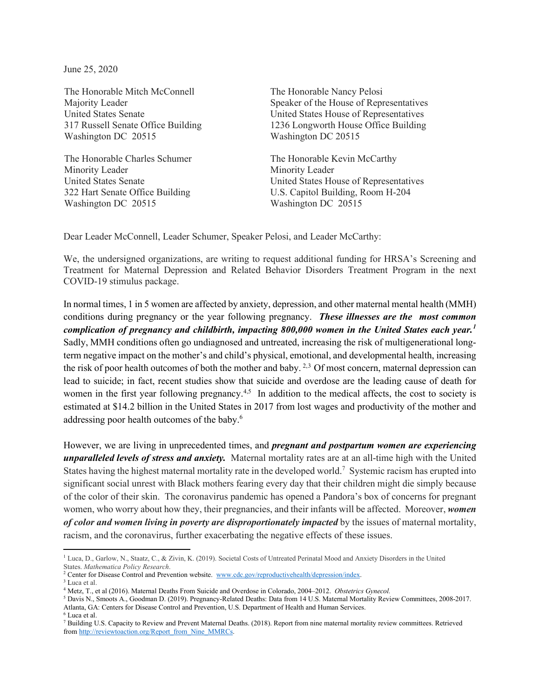June 25, 2020

The Honorable Mitch McConnell Majority Leader United States Senate 317 Russell Senate Office Building Washington DC 20515

The Honorable Charles Schumer Minority Leader United States Senate 322 Hart Senate Office Building Washington DC 20515

The Honorable Nancy Pelosi Speaker of the House of Representatives United States House of Representatives 1236 Longworth House Office Building Washington DC 20515

The Honorable Kevin McCarthy Minority Leader United States House of Representatives U.S. Capitol Building, Room H-204 Washington DC 20515

Dear Leader McConnell, Leader Schumer, Speaker Pelosi, and Leader McCarthy:

We, the undersigned organizations, are writing to request additional funding for HRSA's Screening and Treatment for Maternal Depression and Related Behavior Disorders Treatment Program in the next COVID-19 stimulus package.

In normal times, 1 in 5 women are affected by anxiety, depression, and other maternal mental health (MMH) conditions during pregnancy or the year following pregnancy. *These illnesses are the most common complication of pregnancy and childbirth, impacting 800,000 women in the United States each year.[1](#page-0-0)* Sadly, MMH conditions often go undiagnosed and untreated, increasing the risk of multigenerational longterm negative impact on the mother's and child's physical, emotional, and developmental health, increasing the risk of poor health outcomes of both the mother and baby.<sup>[2](#page-0-1),3</sup> Of most concern, maternal depression can lead to suicide; in fact, recent studies show that suicide and overdose are the leading cause of death for women in the first year following pregnancy.<sup>[4,](#page-0-3)5</sup> In addition to the medical affects, the cost to society is estimated at \$14.2 billion in the United States in 2017 from lost wages and productivity of the mother and addressing poor health outcomes of the baby.6

However, we are living in unprecedented times, and *pregnant and postpartum women are experiencing unparalleled levels of stress and anxiety.* Maternal mortality rates are at an all-time high with the United States having the highest maternal mortality rate in the developed world.<sup>7</sup> Systemic racism has erupted into significant social unrest with Black mothers fearing every day that their children might die simply because of the color of their skin. The coronavirus pandemic has opened a Pandora's box of concerns for pregnant women, who worry about how they, their pregnancies, and their infants will be affected. Moreover, *women of color and women living in poverty are disproportionately impacted* by the issues of maternal mortality, racism, and the coronavirus, further exacerbating the negative effects of these issues.

<span id="page-0-0"></span><sup>&</sup>lt;sup>1</sup> Luca, D., Garlow, N., Staatz, C., & Zivin, K. (2019). Societal Costs of Untreated Perinatal Mood and Anxiety Disorders in the United States. *Mathematica Policy Research*.

<span id="page-0-1"></span><sup>&</sup>lt;sup>2</sup> Center for Disease Control and Prevention website. [www.cdc.gov/reproductivehealth/depression/index.](http://www.cdc.gov/reproductivehealth/depression/index)

<span id="page-0-2"></span><sup>3</sup> Luca et al.

<span id="page-0-3"></span><sup>4</sup> Metz, T., et al (2016). Maternal Deaths From Suicide and Overdose in Colorado, 2004–2012. *Obstetrics Gynecol.* 

<sup>5</sup> Davis N., Smoots A., Goodman D. (2019). Pregnancy-Related Deaths: Data from 14 U.S. Maternal Mortality Review Committees, 2008-2017. Atlanta, GA: Centers for Disease Control and Prevention, U.S. Department of Health and Human Services. <sup>6</sup> Luca et al.

<sup>7</sup> Building U.S. Capacity to Review and Prevent Maternal Deaths. (2018). Report from nine maternal mortality review committees. Retrieved fro[m http://reviewtoaction.org/Report\\_from\\_Nine\\_MMRCs.](http://reviewtoaction.org/Report_from_Nine_MMRCs)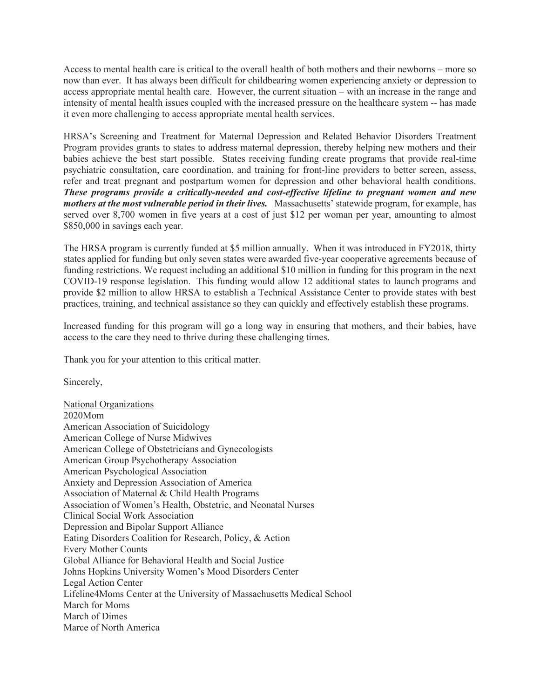Access to mental health care is critical to the overall health of both mothers and their newborns – more so now than ever. It has always been difficult for childbearing women experiencing anxiety or depression to access appropriate mental health care. However, the current situation – with an increase in the range and intensity of mental health issues coupled with the increased pressure on the healthcare system -- has made it even more challenging to access appropriate mental health services.

HRSA's Screening and Treatment for Maternal Depression and Related Behavior Disorders Treatment Program provides grants to states to address maternal depression, thereby helping new mothers and their babies achieve the best start possible. States receiving funding create programs that provide real-time psychiatric consultation, care coordination, and training for front-line providers to better screen, assess, refer and treat pregnant and postpartum women for depression and other behavioral health conditions. *These programs provide a critically-needed and cost-effective lifeline to pregnant women and new mothers at the most vulnerable period in their lives.* Massachusetts' statewide program, for example, has served over 8,700 women in five years at a cost of just \$12 per woman per year, amounting to almost \$850,000 in savings each year.

The HRSA program is currently funded at \$5 million annually. When it was introduced in FY2018, thirty states applied for funding but only seven states were awarded five-year cooperative agreements because of funding restrictions. We request including an additional \$10 million in funding for this program in the next COVID-19 response legislation. This funding would allow 12 additional states to launch programs and provide \$2 million to allow HRSA to establish a Technical Assistance Center to provide states with best practices, training, and technical assistance so they can quickly and effectively establish these programs.

Increased funding for this program will go a long way in ensuring that mothers, and their babies, have access to the care they need to thrive during these challenging times.

Thank you for your attention to this critical matter.

Sincerely,

National Organizations 2020Mom American Association of Suicidology American College of Nurse Midwives American College of Obstetricians and Gynecologists American Group Psychotherapy Association American Psychological Association Anxiety and Depression Association of America Association of Maternal & Child Health Programs Association of Women's Health, Obstetric, and Neonatal Nurses Clinical Social Work Association Depression and Bipolar Support Alliance Eating Disorders Coalition for Research, Policy, & Action Every Mother Counts Global Alliance for Behavioral Health and Social Justice Johns Hopkins University Women's Mood Disorders Center Legal Action Center Lifeline4Moms Center at the University of Massachusetts Medical School March for Moms March of Dimes Marce of North America